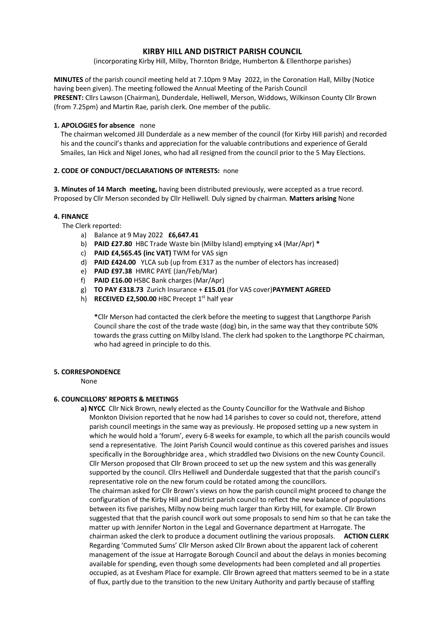# **KIRBY HILL AND DISTRICT PARISH COUNCIL**

(incorporating Kirby Hill, Milby, Thornton Bridge, Humberton & Ellenthorpe parishes)

**MINUTES** of the parish council meeting held at 7.10pm 9 May 2022, in the Coronation Hall, Milby (Notice having been given). The meeting followed the Annual Meeting of the Parish Council **PRESENT:** Cllrs Lawson (Chairman), Dunderdale, Helliwell, Merson, Widdows, Wilkinson County Cllr Brown (from 7.25pm) and Martin Rae, parish clerk. One member of the public.

## **1. APOLOGIES for absence** none

 The chairman welcomed Jill Dunderdale as a new member of the council (for Kirby Hill parish) and recorded his and the council's thanks and appreciation for the valuable contributions and experience of Gerald Smailes, Ian Hick and Nigel Jones, who had all resigned from the council prior to the 5 May Elections.

## **2. CODE OF CONDUCT/DECLARATIONS OF INTERESTS:** none

**3. Minutes of 14 March meeting,** having been distributed previously, were accepted as a true record. Proposed by Cllr Merson seconded by Cllr Helliwell. Duly signed by chairman. **Matters arising** None

## **4. FINANCE**

The Clerk reported:

- a) Balance at 9 May 2022 **£6,647.41**
- b) **PAID £27.80** HBC Trade Waste bin (Milby Island) emptying x4 (Mar/Apr) **\***
- c) **PAID £4,565.45 (inc VAT)** TWM for VAS sign
- d) **PAID £424.00** YLCA sub (up from £317 as the number of electors has increased)
- e) **PAID £97.38** HMRC PAYE (Jan/Feb/Mar)
- f) **PAID £16.00** HSBC Bank charges (Mar/Apr)
- g) **TO PAY £318.73** Zurich Insurance + **£15.01** (for VAS cover)**PAYMENT AGREED**
- h) **RECEIVED £2,500.00** HBC Precept 1<sup>st</sup> half year

**\***Cllr Merson had contacted the clerk before the meeting to suggest that Langthorpe Parish Council share the cost of the trade waste (dog) bin, in the same way that they contribute 50% towards the grass cutting on Milby Island. The clerk had spoken to the Langthorpe PC chairman, who had agreed in principle to do this.

## **5. CORRESPONDENCE**

None

## **6. COUNCILLORS' REPORTS & MEETINGS**

**a) NYCC** Cllr Nick Brown, newly elected as the County Councillor for the Wathvale and Bishop Monkton Division reported that he now had 14 parishes to cover so could not, therefore, attend parish council meetings in the same way as previously. He proposed setting up a new system in which he would hold a 'forum', every 6-8 weeks for example, to which all the parish councils would send a representative. The Joint Parish Council would continue as this covered parishes and issues specifically in the Boroughbridge area , which straddled two Divisions on the new County Council. Cllr Merson proposed that Cllr Brown proceed to set up the new system and this was generally supported by the council. Cllrs Helliwell and Dunderdale suggested that that the parish council's representative role on the new forum could be rotated among the councillors. The chairman asked for Cllr Brown's views on how the parish council might proceed to change the configuration of the Kirby Hill and District parish council to reflect the new balance of populations between its five parishes, Milby now being much larger than Kirby Hill, for example. Cllr Brown suggested that that the parish council work out some proposals to send him so that he can take the matter up with Jennifer Norton in the Legal and Governance department at Harrogate. The chairman asked the clerk to produce a document outlining the various proposals. **ACTION CLERK** Regarding 'Commuted Sums' Cllr Merson asked Cllr Brown about the apparent lack of coherent management of the issue at Harrogate Borough Council and about the delays in monies becoming available for spending, even though some developments had been completed and all properties occupied, as at Evesham Place for example. Cllr Brown agreed that matters seemed to be in a state of flux, partly due to the transition to the new Unitary Authority and partly because of staffing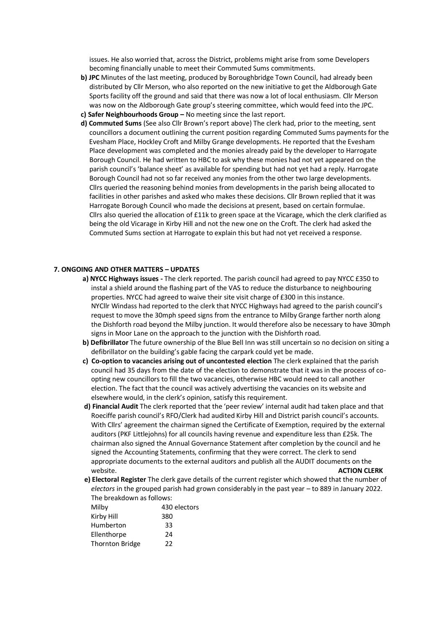issues. He also worried that, across the District, problems might arise from some Developers becoming financially unable to meet their Commuted Sums commitments.

- **b) JPC** Minutes of the last meeting, produced by Boroughbridge Town Council, had already been distributed by Cllr Merson, who also reported on the new initiative to get the Aldborough Gate Sports facility off the ground and said that there was now a lot of local enthusiasm. Cllr Merson was now on the Aldborough Gate group's steering committee, which would feed into the JPC.
- **c) Safer Neighbourhoods Group –** No meeting since the last report.
- **d) Commuted Sums** (See also Cllr Brown's report above) The clerk had, prior to the meeting, sent councillors a document outlining the current position regarding Commuted Sums payments for the Evesham Place, Hockley Croft and Milby Grange developments. He reported that the Evesham Place development was completed and the monies already paid by the developer to Harrogate Borough Council. He had written to HBC to ask why these monies had not yet appeared on the parish council's 'balance sheet' as available for spending but had not yet had a reply. Harrogate Borough Council had not so far received any monies from the other two large developments. Cllrs queried the reasoning behind monies from developments in the parish being allocated to facilities in other parishes and asked who makes these decisions. Cllr Brown replied that it was Harrogate Borough Council who made the decisions at present, based on certain formulae. Cllrs also queried the allocation of £11k to green space at the Vicarage, which the clerk clarified as being the old Vicarage in Kirby Hill and not the new one on the Croft. The clerk had asked the Commuted Sums section at Harrogate to explain this but had not yet received a response.

#### **7. ONGOING AND OTHER MATTERS – UPDATES**

- **a) NYCC Highways issues -** The clerk reported. The parish council had agreed to pay NYCC £350 to instal a shield around the flashing part of the VAS to reduce the disturbance to neighbouring properties. NYCC had agreed to waive their site visit charge of £300 in this instance. NYCllr Windass had reported to the clerk that NYCC Highways had agreed to the parish council's request to move the 30mph speed signs from the entrance to Milby Grange farther north along the Dishforth road beyond the Milby junction. It would therefore also be necessary to have 30mph signs in Moor Lane on the approach to the junction with the Dishforth road.
- **b) Defibrillator** The future ownership of the Blue Bell Inn was still uncertain so no decision on siting a defibrillator on the building's gable facing the carpark could yet be made.
- **c) Co-option to vacancies arising out of uncontested election** The clerk explained that the parish council had 35 days from the date of the election to demonstrate that it was in the process of co opting new councillors to fill the two vacancies, otherwise HBC would need to call another election. The fact that the council was actively advertising the vacancies on its website and elsewhere would, in the clerk's opinion, satisfy this requirement.
- **d) Financial Audit** The clerk reported that the 'peer review' internal audit had taken place and that Roeciffe parish council's RFO/Clerk had audited Kirby Hill and District parish council's accounts. With Cllrs' agreement the chairman signed the Certificate of Exemption, required by the external auditors (PKF Littlejohns) for all councils having revenue and expenditure less than £25k. The chairman also signed the Annual Governance Statement after completion by the council and he signed the Accounting Statements, confirming that they were correct. The clerk to send appropriate documents to the external auditors and publish all the AUDIT documents on the website. **ACTION CLERK**
- **e) Electoral Register** The clerk gave details of the current register which showed that the number of *electors* in the grouped parish had grown considerably in the past year – to 889 in January 2022. The breakdown as follows:

| Milby                  | 430 electors |
|------------------------|--------------|
| Kirby Hill             | 380          |
| Humberton              | 33           |
| Ellenthorpe            | 24           |
| <b>Thornton Bridge</b> | 22           |
|                        |              |